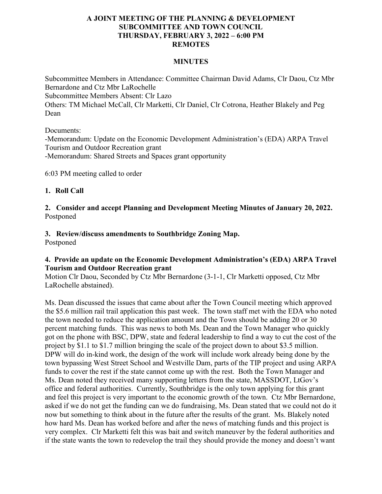## **A JOINT MEETING OF THE PLANNING & DEVELOPMENT SUBCOMMITTEE AND TOWN COUNCIL THURSDAY, FEBRUARY 3, 2022 – 6:00 PM REMOTES**

### **MINUTES**

Subcommittee Members in Attendance: Committee Chairman David Adams, Clr Daou, Ctz Mbr Bernardone and Ctz Mbr LaRochelle Subcommittee Members Absent: Clr Lazo Others: TM Michael McCall, Clr Marketti, Clr Daniel, Clr Cotrona, Heather Blakely and Peg Dean

Documents:

-Memorandum: Update on the Economic Development Administration's (EDA) ARPA Travel Tourism and Outdoor Recreation grant -Memorandum: Shared Streets and Spaces grant opportunity

6:03 PM meeting called to order

### **1. Roll Call**

**2. Consider and accept Planning and Development Meeting Minutes of January 20, 2022.** Postponed

# **3. Review/discuss amendments to Southbridge Zoning Map.**

Postponed

## **4. Provide an update on the Economic Development Administration's (EDA) ARPA Travel Tourism and Outdoor Recreation grant**

Motion Clr Daou, Seconded by Ctz Mbr Bernardone (3-1-1, Clr Marketti opposed, Ctz Mbr LaRochelle abstained).

Ms. Dean discussed the issues that came about after the Town Council meeting which approved the \$5.6 million rail trail application this past week. The town staff met with the EDA who noted the town needed to reduce the application amount and the Town should be adding 20 or 30 percent matching funds. This was news to both Ms. Dean and the Town Manager who quickly got on the phone with BSC, DPW, state and federal leadership to find a way to cut the cost of the project by \$1.1 to \$1.7 million bringing the scale of the project down to about \$3.5 million. DPW will do in-kind work, the design of the work will include work already being done by the town bypassing West Street School and Westville Dam, parts of the TIP project and using ARPA funds to cover the rest if the state cannot come up with the rest. Both the Town Manager and Ms. Dean noted they received many supporting letters from the state, MASSDOT, LtGov's office and federal authorities. Currently, Southbridge is the only town applying for this grant and feel this project is very important to the economic growth of the town. Ctz Mbr Bernardone, asked if we do not get the funding can we do fundraising, Ms. Dean stated that we could not do it now but something to think about in the future after the results of the grant. Ms. Blakely noted how hard Ms. Dean has worked before and after the news of matching funds and this project is very complex. Clr Marketti felt this was bait and switch maneuver by the federal authorities and if the state wants the town to redevelop the trail they should provide the money and doesn't want